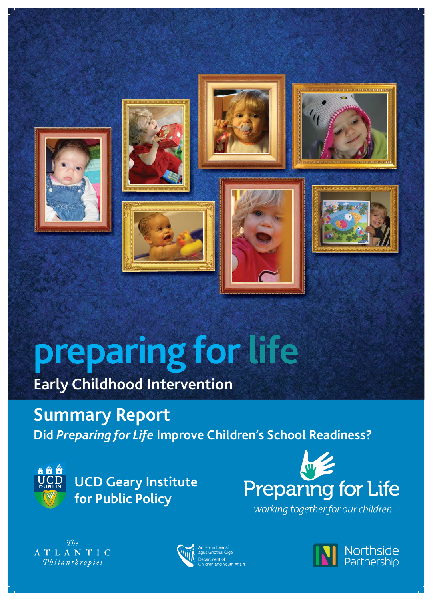

# **preparing for life**

# **Early Childhood Intervention**

**Summary Report Did** *Preparing for Life* **Improve Children's School Readiness?**



**UCD Geary Institute for Public Policy**



working together for our children

 $The$ ATLANTIC Philanthropies



An Roinn Leanaí<br>agus Gnóthaí Óige Department of<br>Department of<br>Children and Youth Affairs

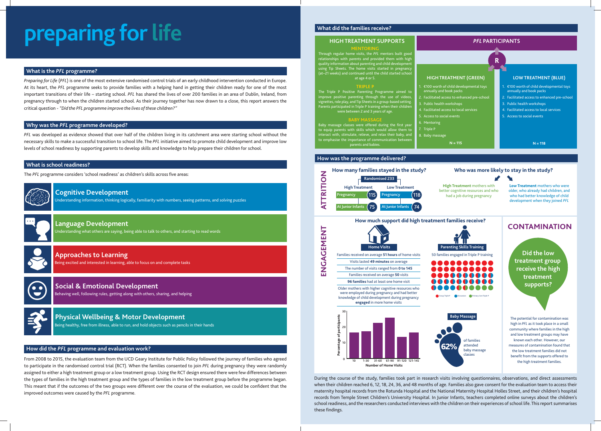# **preparing for life**

*Preparing for Life* (*PFL*) is one of the most extensive randomised control trials of an early childhood intervention conducted in Europe. At its heart, the *PFL* programme seeks to provide families with a helping hand in getting their children ready for one of the most important transitions of their life – starting school. *PFL* has shared the lives of over 200 families in an area of Dublin, Ireland, from pregnancy through to when the children started school. As their journey together has now drawn to a close, this report answers the critical question - *"Did the PFL programme improve the lives of these children?"*

*PFL* was developed as evidence showed that over half of the children living in its catchment area were starting school without the necessary skills to make a successful transition to school life. The *PFL* initiative aimed to promote child development and improve low levels of school readiness by supporting parents to develop skills and knowledge to help prepare their children for school.

From 2008 to 2015, the evaluation team from the UCD Geary Institute for Public Policy followed the journey of families who agreed to participate in the randomised control trial (RCT). When the families consented to join *PFL* during pregnancy they were randomly assigned to either a high treatment group or a low treatment group. Using the RCT design ensured there were few differences between the types of families in the high treatment group and the types of families in the low treatment group before the programme began. This meant that if the outcomes of the two groups were different over the course of the evaluation, we could be confident that the improved outcomes were caused by the *PFL* programme.

Baby massage classes were offered during the first year to equip parents with skills which would allow them to interact with, stimulate, relieve, and relax their baby, and to emphasise the importance of communication between parents and babies.

### **What is the** *PFL* **programme?**

### **Why was the** *PFL* **programme developed?**

During the course of the study, families took part in research visits involving questionnaires, observations, and direct assessments when their children reached 6, 12, 18, 24, 36, and 48 months of age. Families also gave consent for the evaluation team to access their maternity hospital records from the Rotunda Hospital and the National Maternity Hospital Holles Street, and their children's hospital records from Temple Street Children's University Hospital. In Junior Infants, teachers completed online surveys about the children's school readiness, and the researchers conducted interviews with the children on their experiences of school life. This report summarises these findings.

### **What is school readiness?**

The *PFL* programme considers 'school readiness' as children's skills across five areas:



### **How did the** *PFL* **programme and evaluation work?**

Understanding information, thinking logically, familiarity with numbers, seeing patterns, and solving puzzles



### **Cognitive Development**

Being excited and interested in learning, able to focus on and complete tasks



### **Approaches to Learning**

Being healthy, free from illness, able to run, and hold objects such as pencils in their hands

# **Physical Wellbeing & Motor Development**

### **HIGH TREATMENT SUPPORTS**

### **MENTORING**

Through regular home visits, the *PFL* mentors built good relationships with parents and provided them with high quality information about parenting and child development using Tip Sheets. The home visits started in pregnancy (at~21 weeks) and continued until the child started school at age 4 or 5.

**TRIPLE P** The Triple P Positive Parenting Programme aimed to improve positive parenting through the use of videos, vignettes, role play, and Tip Sheets in a group-based setting. Parents participated in Triple P training when their childre were between 2 and 3 years of age.

### **BABY MASSAGE**

### **HIGH TREATMENT (GREEN)**

- 1. €100 worth of child developmental toys
- annually and book packs . Facilitated access to enhanced pre-school
- **Public health workshops** 
	-
- 4. Facilitated access to local services
- 5. Access to social events
- 6. Mentoring

7. Triple P

### 8. Baby massage

**N = 115**

### **LOW TREATMENT (BLUE)**

- 1. €100 worth of child developmental toys annually and book packs
- 2. Facilitated access to enhanced pre-school
- 3. Public health workshops
- 4. Facilitated access to local services
- 5. Access to social events

### **N = 118**

### *PFL* **PARTICIPANTS**

# **R**

## **CONTAMINATION**

### **Who was more likely to stay in the study?**

 $\sum_{i=1}^{n}$ 

**High Treatment** mothers with better cognitive resources and who

**Low Treatment** mothers who were older, who already had children, and who had better knowledge of child development when they joined *PFL*



The potential for contamination was high in *PFL* as it took place in a small community where families in the high and low treatment groups may have known each other. However, our measures of contamination found that the low treatment families did not benefit from the supports offered to the high treatment families.

**Did the low treatment group receive the high treatment supports?**

Behaving well, following rules, getting along with others, sharing, and helping



### **Social & Emotional Development**

### **How was the programme delivered?**

### **What did the families receive?**

Understanding what others are saying, being able to talk to others, and starting to read words



### **Language Development**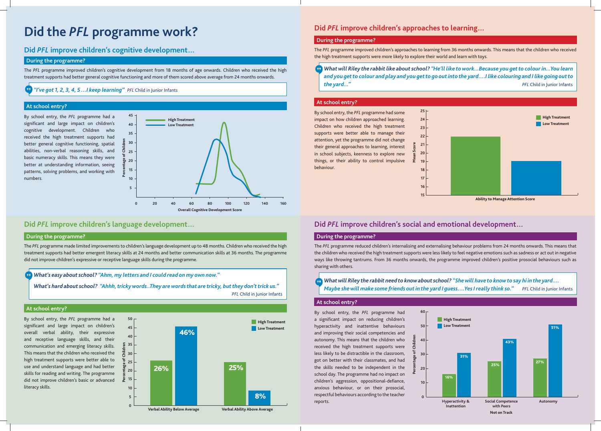The *PFL* programme improved children's cognitive development from 18 months of age onwards. Children who received the high treatment supports had better general cognitive functioning and more of them scored above average from 24 months onwards.

The *PFL* programme made limited improvements to children's language development up to 48 months. Children who received the high treatment supports had better emergent literacy skills at 24 months and better communication skills at 36 months. The programme did not improve children's expressive or receptive language skills during the programme.

The *PFL* programme improved children's approaches to learning from 36 months onwards. This means that the children who received the high treatment supports were more likely to explore their world and learn with toys.

The *PFL* programme reduced children's internalising and externalising behaviour problems from 24 months onwards. This means that the children who received the high treatment supports were less likely to feel negative emotions such as sadness or act out in negative ways like throwing tantrums. From 36 months onwards, the programme improved children's positive prosocial behaviours such as sharing with others.

By school entry, the *PFL* programme had a significant and large impact on children's cognitive development. Children who received the high treatment supports had better general cognitive functioning, spatial abilities, non-verbal reasoning skills, and basic numeracy skills. This means they were better at understanding information, seeing patterns, solving problems, and working with numbers.

By school entry, the *PFL* programme had a significant and large impact on children's overall verbal ability, their expressive and receptive language skills, and their communication and emerging literacy skills. This means that the children who received the high treatment supports were better able to use and understand language and had better skills for reading and writing. The programme did not improve children's basic or advanced literacy skills.

By school entry, the *PFL* programme had some impact on how children approached learning. Children who received the high treatment supports were better able to manage their attention, yet the programme did not change their general approaches to learning, interest in school subjects, keenness to explore new things, or their ability to control impulsive behaviour.

By school entry, the *PFL* programme had a significant impact on reducing children's hyperactivity and inattentive behaviours and improving their social competencies and autonomy. This means that the children who received the high treatment supports were less likely to be distractible in the classroom, got on better with their classmates, and had the skills needed to be independent in the school day. The programme had no impact on children's aggression, oppositional-defiance, anxious behaviour, or on their prosocial, respectful behaviours according to the teacher reports.

### **During the programme?**

### **During the programme?**

### **During the programme?**

### **During the programme?**

### **At school entry?**

### **At school entry?**

### **At school entry?**

### **At school entry?**

*"I've got 1, 2, 3, 4, 5 …I keep learning" PFL* Child in Junior Infants

*What's easy about school? "Ahm, my letters and I could read on my own now."*

*What's hard about school? "Ahhh, tricky words..They are words that are tricky, but they don't trick us."*

*PFL* Child in Junior Infants

*What will Riley the rabbit like about school? "He'll like to work...Because you get to colour in...You learn and you get to colour and play and you get to go out into the yard….I like colouring and I like going out to the yard..."**PFL* Child in Junior Infants

# **Did the PFL programme work?** Did *PFL* improve children's approaches to learning...

## **Did** *PFL* **improve children's cognitive development…**









**Ability to Manage Attention Score**





**60**

# **Did** *PFL* **improve children's social and emotional development…**

## **Did** *PFL* **improve children's language development…**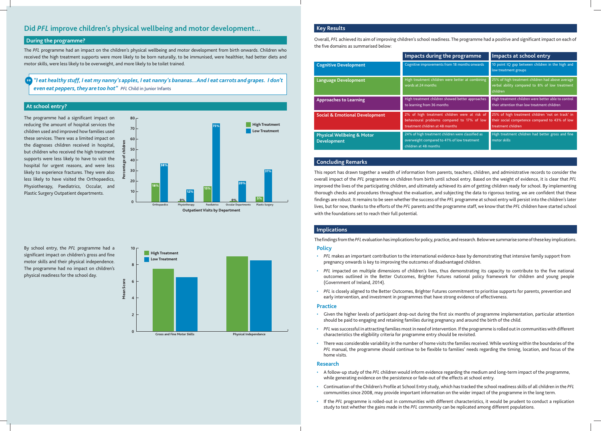The *PFL* programme had an impact on the children's physical wellbeing and motor development from birth onwards. Children who received the high treatment supports were more likely to be born naturally, to be immunised, were healthier, had better diets and motor skills, were less likely to be overweight, and more likely to be toilet trained.

> This report has drawn together a wealth of information from parents, teachers, children, and administrative records to consider the overall impact of the *PFL* programme on children from birth until school entry. Based on the weight of evidence, it is clear that *PFL* improved the lives of the participating children, and ultimately achieved its aim of getting children ready for school. By implementing thorough checks and procedures throughout the evaluation, and subjecting the data to rigorous testing, we are confident that these findings are robust. It remains to be seen whether the success of the PFL programme at school entry will persist into the children's later lives, but for now, thanks to the efforts of the *PFL* parents and the programme staff, we know that the *PFL* children have started school with the foundations set to reach their full potential.

The programme had a significant impact on reducing the amount of hospital services the children used and improved how families used these services. There was a limited impact on the diagnoses children received in hospital, but children who received the high treatment supports were less likely to have to visit the hospital for urgent reasons, and were less likely to experience fractures. They were also less likely to have visited the Orthopaedics, Physiotherapy, Paediatrics, Occular, and Plastic Surgery Outpatient departments.

By school entry, the *PFL* programme had a significant impact on children's gross and fine motor skills and their physical independence. The programme had no impact on children's physical readiness for the school day.

PFL impacted on multiple dimensions of children's lives, thus demonstrating its capacity to contribute to the five national outcomes outlined in the Better Outcomes, Brighter Futures national policy framework for children and young people

### **Key Results**

Overall, PFL achieved its aim of improving children's school readiness. The programme had a positive and significant impact on each of the five domains as summarised below:

### **Concluding Remarks**

### **Implications**

### **At school entry?**

|                                                             | Impacts during the programme                                                                                                    | Impacts at school entry                                                                                                  |
|-------------------------------------------------------------|---------------------------------------------------------------------------------------------------------------------------------|--------------------------------------------------------------------------------------------------------------------------|
| <b>Cognitive Development</b>                                | Cognitive improvements from 18 months onwards                                                                                   | 10 point IQ gap between children in the high and<br>low treatment groups                                                 |
| <b>Language Development</b>                                 | High treatment children were better at combining<br>words at 24 months                                                          | 25% of high treatment children had above average<br>verbal ability compared to 8% of low treatment<br>children           |
| <b>Approaches to Learning</b>                               | High treatment children showed better approaches<br>to learning from 36 months                                                  | High treatment children were better able to control<br>their attention than low treatment children                       |
| <b>Social &amp; Emotional Development</b>                   | 2% of high treatment children were at risk of<br>behavioural problems compared to 17% of low<br>treatment children at 48 months | 25% of high treatment children 'not on track' in<br>their social competence compared to 43% of low<br>treatment children |
| <b>Physical Wellbeing &amp; Motor</b><br><b>Development</b> | 24% of high treatment children were classified as<br>overweight compared to 41% of low treatment<br>children at 48 months       | High treatment children had better gross and fine<br>motor skills                                                        |

• There was considerable variability in the number of home visits the families received. While working within the boundaries of the *PFL* manual, the programme should continue to be flexible to families' needs regarding the timing, location, and focus of the

The findings from the PFL evaluation has implications for policy, practice, and research. Below we summarise some of these key implications. **Policy**

*"I eat healthy stuff, I eat my nanny's apples, I eat nanny's bananas...And I eat carrots and grapes. I don't even eat peppers, they are too hot" PFL* Child in Junior Infants



**Outpatient Visits by Department**



- pregnancy onwards is key to improving the outcomes of disadvantaged children.
- (Government of Ireland, 2014).
- early intervention, and investment in programmes that have strong evidence of effectiveness.

• *PFL* is closely aligned to the Better Outcomes, Brighter Futures commitment to prioritise supports for parents, prevention and

Given the higher levels of participant drop-out during the first six months of programme implementation, particular attention

• A follow-up study of the *PFL* children would inform evidence regarding the medium and long-term impact of the programme,

• Continuation of the Children's Profi le at School Entry study, which has tracked the school readiness skills of all children in the *PFL* communities since 2008, may provide important information on the wider impact of the programme in the long term.

- while generating evidence on the persistence or fade-out of the effects at school entry.
- 
- study to test whether the gains made in the *PFL* community can be replicated among different populations.

• If the *PFL* programme is rolled-out in communities with different characteristics, it would be prudent to conduct a replication

• *PFL* was successful in attracting families most in need of intervention. If the programme is rolled out in communities with different

- should be paid to engaging and retaining families during pregnancy and around the birth of the child.
- characteristics the eligibility criteria for programme entry should be revisited.
- home visits.

### **Research**

### **Practice**

# **Did** *PFL* **improve children's physical wellbeing and motor development...**

### **During the programme?**